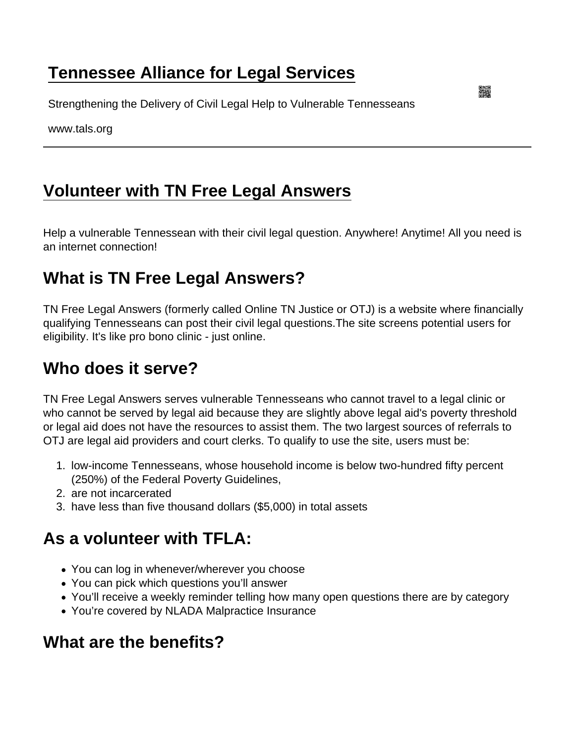## [Tennessee Alliance for Legal Services](https://www.tals.org/)

Strengthening the Delivery of Civil Legal Help to Vulnerable Tennesseans

www.tals.org

# [Volunteer with TN Free Legal Answers](https://www.tals.org/volunteerwithTFLA)

Help a vulnerable Tennessean with their civil legal question. Anywhere! Anytime! All you need is an internet connection!

## What is TN Free Legal Answers?

TN Free Legal Answers (formerly called Online TN Justice or OTJ) is a website where financially qualifying Tennesseans can post their civil legal questions.The site screens potential users for eligibility. It's like pro bono clinic - just online.

### Who does it serve?

TN Free Legal Answers serves vulnerable Tennesseans who cannot travel to a legal clinic or who cannot be served by legal aid because they are slightly above legal aid's poverty threshold or legal aid does not have the resources to assist them. The two largest sources of referrals to OTJ are legal aid providers and court clerks. To qualify to use the site, users must be:

- 1. low-income Tennesseans, whose household income is below two-hundred fifty percent (250%) of the Federal Poverty Guidelines,
- 2. are not incarcerated
- 3. have less than five thousand dollars (\$5,000) in total assets

# As a volunteer with TFLA:

- You can log in whenever/wherever you choose
- You can pick which questions you'll answer
- You'll receive a weekly reminder telling how many open questions there are by category
- You're covered by NLADA Malpractice Insurance

## What are the benefits?